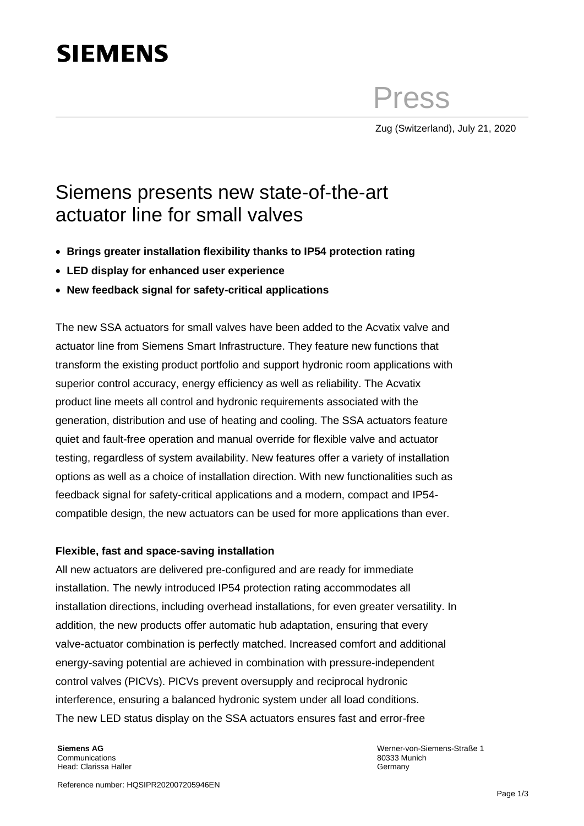# **SIEMENS**

Press

Zug (Switzerland), July 21, 2020

## Siemens presents new state-of-the-art actuator line for small valves

- **Brings greater installation flexibility thanks to IP54 protection rating**
- **LED display for enhanced user experience**
- **New feedback signal for safety-critical applications**

The new SSA actuators for small valves have been added to the Acvatix valve and actuator line from Siemens Smart Infrastructure. They feature new functions that transform the existing product portfolio and support hydronic room applications with superior control accuracy, energy efficiency as well as reliability. The Acvatix product line meets all control and hydronic requirements associated with the generation, distribution and use of heating and cooling. The SSA actuators feature quiet and fault-free operation and manual override for flexible valve and actuator testing, regardless of system availability. New features offer a variety of installation options as well as a choice of installation direction. With new functionalities such as feedback signal for safety-critical applications and a modern, compact and IP54 compatible design, the new actuators can be used for more applications than ever.

### **Flexible, fast and space-saving installation**

All new actuators are delivered pre-configured and are ready for immediate installation. The newly introduced IP54 protection rating accommodates all installation directions, including overhead installations, for even greater versatility. In addition, the new products offer automatic hub adaptation, ensuring that every valve-actuator combination is perfectly matched. Increased comfort and additional energy-saving potential are achieved in combination with pressure-independent control valves (PICVs). PICVs prevent oversupply and reciprocal hydronic interference, ensuring a balanced hydronic system under all load conditions. The new LED status display on the SSA actuators ensures fast and error-free

**Siemens AG** Communications Head: Clarissa Haller

Werner-von-Siemens-Straße 1 80333 Munich Germany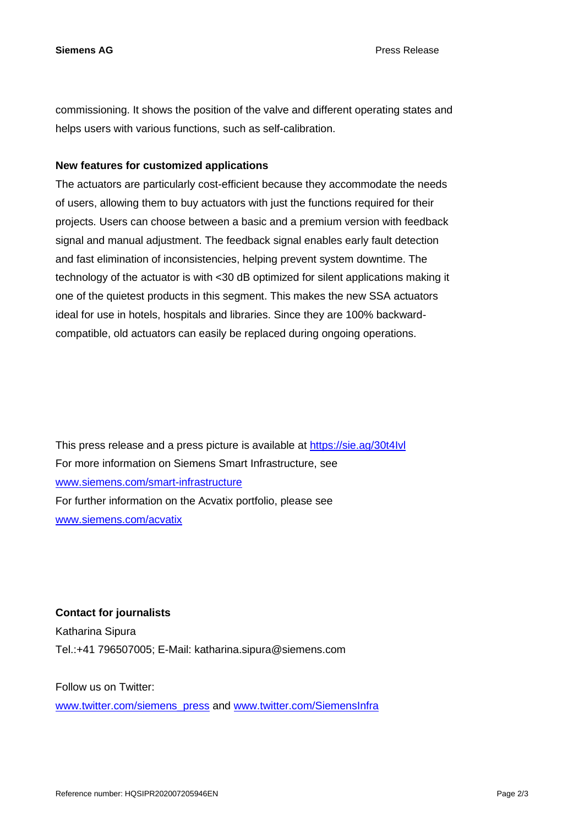commissioning. It shows the position of the valve and different operating states and helps users with various functions, such as self-calibration.

### **New features for customized applications**

The actuators are particularly cost-efficient because they accommodate the needs of users, allowing them to buy actuators with just the functions required for their projects. Users can choose between a basic and a premium version with feedback signal and manual adjustment. The feedback signal enables early fault detection and fast elimination of inconsistencies, helping prevent system downtime. The technology of the actuator is with <30 dB optimized for silent applications making it one of the quietest products in this segment. This makes the new SSA actuators ideal for use in hotels, hospitals and libraries. Since they are 100% backwardcompatible, old actuators can easily be replaced during ongoing operations.

This press release and a press picture is available at <https://sie.ag/30t4Ivl> For more information on Siemens Smart Infrastructure, see [www.siemens.com/smart-infrastructure](http://www.siemens.com/smart-infrastructure) For further information on the Acvatix portfolio, please see [www.siemens.com/acvatix](http://www.siemens.com/acvatix)

**Contact for journalists** Katharina Sipura Tel.:+41 796507005; E-Mail: katharina.sipura@siemens.com

Follow us on Twitter:

[www.twitter.com/siemens\\_press](http://www.twitter.com/siemens_press) and [www.twitter.com/SiemensInfra](http://www.twitter.com/SiemensInfra)